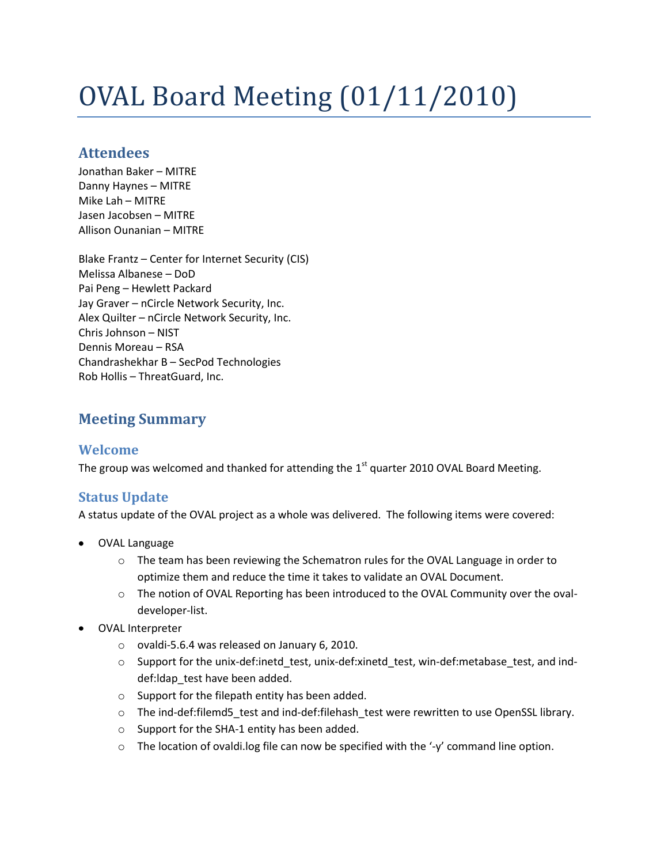# OVAL Board Meeting (01/11/2010)

# **Attendees**

Jonathan Baker – MITRE Danny Haynes – MITRE Mike Lah – MITRE Jasen Jacobsen – MITRE Allison Ounanian – MITRE

Blake Frantz – Center for Internet Security (CIS) Melissa Albanese – DoD Pai Peng – Hewlett Packard Jay Graver – nCircle Network Security, Inc. Alex Quilter – nCircle Network Security, Inc. Chris Johnson – NIST Dennis Moreau – RSA Chandrashekhar B – SecPod Technologies Rob Hollis – ThreatGuard, Inc.

# **Meeting Summary**

## **Welcome**

The group was welcomed and thanked for attending the  $1<sup>st</sup>$  quarter 2010 OVAL Board Meeting.

## **Status Update**

A status update of the OVAL project as a whole was delivered. The following items were covered:

- OVAL Language
	- $\circ$  The team has been reviewing the Schematron rules for the OVAL Language in order to optimize them and reduce the time it takes to validate an OVAL Document.
	- o The notion of OVAL Reporting has been introduced to the OVAL Community over the ovaldeveloper-list.
- OVAL Interpreter
	- o ovaldi-5.6.4 was released on January 6, 2010.
	- o Support for the unix-def:inetd\_test, unix-def:xinetd\_test, win-def:metabase\_test, and inddef:ldap\_test have been added.
	- o Support for the filepath entity has been added.
	- o The ind-def:filemd5\_test and ind-def:filehash\_test were rewritten to use OpenSSL library.
	- o Support for the SHA-1 entity has been added.
	- $\circ$  The location of ovaldi.log file can now be specified with the '-y' command line option.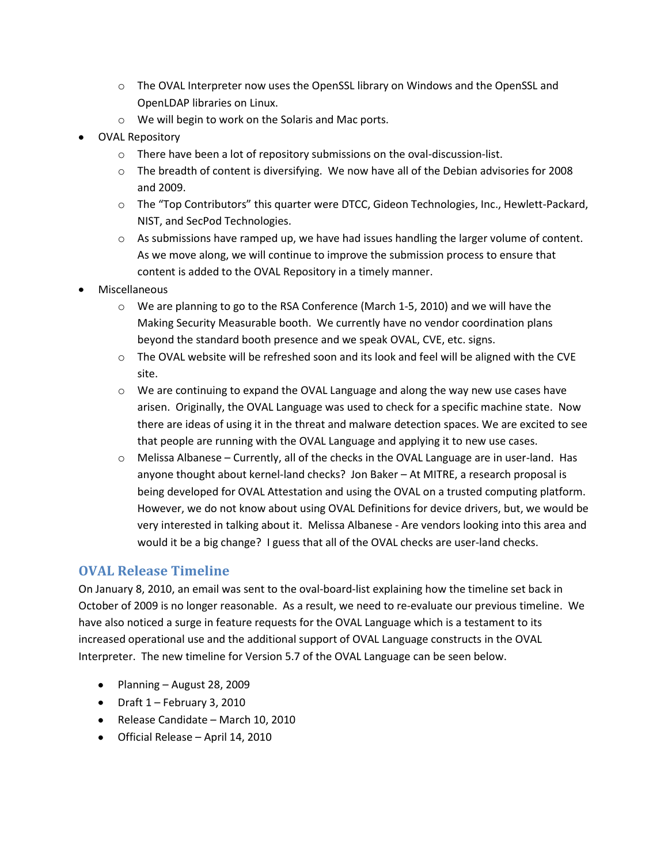- o The OVAL Interpreter now uses the OpenSSL library on Windows and the OpenSSL and OpenLDAP libraries on Linux.
- o We will begin to work on the Solaris and Mac ports.
- OVAL Repository
	- o There have been a lot of repository submissions on the oval-discussion-list.
	- $\circ$  The breadth of content is diversifying. We now have all of the Debian advisories for 2008 and 2009.
	- o The "Top Contributors" this quarter were DTCC, Gideon Technologies, Inc., Hewlett-Packard, NIST, and SecPod Technologies.
	- $\circ$  As submissions have ramped up, we have had issues handling the larger volume of content. As we move along, we will continue to improve the submission process to ensure that content is added to the OVAL Repository in a timely manner.
- Miscellaneous
	- o We are planning to go to the RSA Conference (March 1-5, 2010) and we will have the Making Security Measurable booth. We currently have no vendor coordination plans beyond the standard booth presence and we speak OVAL, CVE, etc. signs.
	- $\circ$  The OVAL website will be refreshed soon and its look and feel will be aligned with the CVE site.
	- $\circ$  We are continuing to expand the OVAL Language and along the way new use cases have arisen. Originally, the OVAL Language was used to check for a specific machine state. Now there are ideas of using it in the threat and malware detection spaces. We are excited to see that people are running with the OVAL Language and applying it to new use cases.
	- $\circ$  Melissa Albanese Currently, all of the checks in the OVAL Language are in user-land. Has anyone thought about kernel-land checks? Jon Baker – At MITRE, a research proposal is being developed for OVAL Attestation and using the OVAL on a trusted computing platform. However, we do not know about using OVAL Definitions for device drivers, but, we would be very interested in talking about it. Melissa Albanese - Are vendors looking into this area and would it be a big change? I guess that all of the OVAL checks are user-land checks.

#### **OVAL Release Timeline**

On January 8, 2010, an email was sent to the oval-board-list explaining how the timeline set back in October of 2009 is no longer reasonable. As a result, we need to re-evaluate our previous timeline. We have also noticed a surge in feature requests for the OVAL Language which is a testament to its increased operational use and the additional support of OVAL Language constructs in the OVAL Interpreter. The new timeline for Version 5.7 of the OVAL Language can be seen below.

- Planning August 28, 2009
- $\bullet$  Draft 1 February 3, 2010
- Release Candidate March 10, 2010
- Official Release April 14, 2010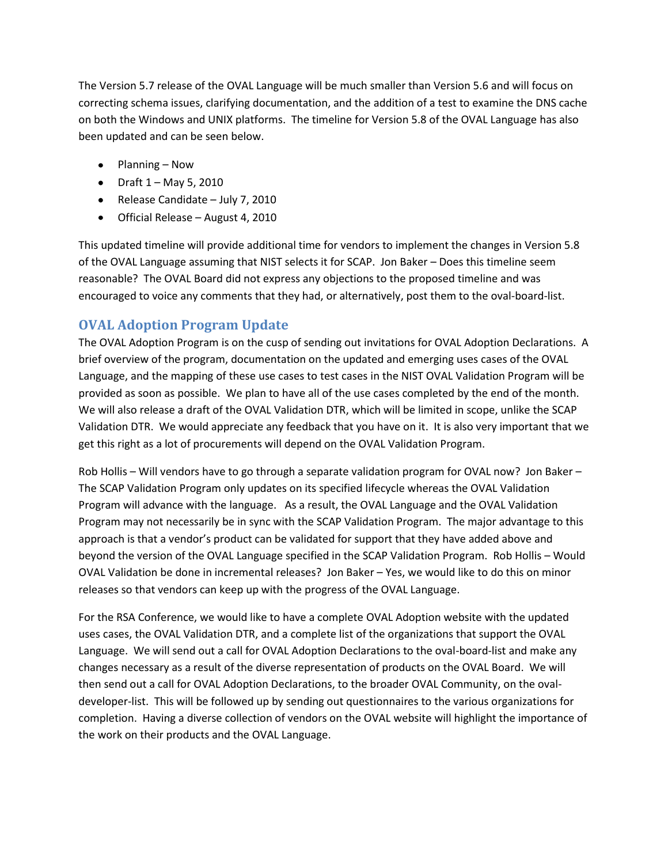The Version 5.7 release of the OVAL Language will be much smaller than Version 5.6 and will focus on correcting schema issues, clarifying documentation, and the addition of a test to examine the DNS cache on both the Windows and UNIX platforms. The timeline for Version 5.8 of the OVAL Language has also been updated and can be seen below.

- Planning Now
- Draft  $1 May 5$ , 2010
- Release Candidate July 7, 2010
- Official Release August 4, 2010

This updated timeline will provide additional time for vendors to implement the changes in Version 5.8 of the OVAL Language assuming that NIST selects it for SCAP. Jon Baker – Does this timeline seem reasonable? The OVAL Board did not express any objections to the proposed timeline and was encouraged to voice any comments that they had, or alternatively, post them to the oval-board-list.

#### **OVAL Adoption Program Update**

The OVAL Adoption Program is on the cusp of sending out invitations for OVAL Adoption Declarations. A brief overview of the program, documentation on the updated and emerging uses cases of the OVAL Language, and the mapping of these use cases to test cases in the NIST OVAL Validation Program will be provided as soon as possible. We plan to have all of the use cases completed by the end of the month. We will also release a draft of the OVAL Validation DTR, which will be limited in scope, unlike the SCAP Validation DTR. We would appreciate any feedback that you have on it. It is also very important that we get this right as a lot of procurements will depend on the OVAL Validation Program.

Rob Hollis – Will vendors have to go through a separate validation program for OVAL now? Jon Baker – The SCAP Validation Program only updates on its specified lifecycle whereas the OVAL Validation Program will advance with the language. As a result, the OVAL Language and the OVAL Validation Program may not necessarily be in sync with the SCAP Validation Program. The major advantage to this approach is that a vendor's product can be validated for support that they have added above and beyond the version of the OVAL Language specified in the SCAP Validation Program. Rob Hollis – Would OVAL Validation be done in incremental releases? Jon Baker – Yes, we would like to do this on minor releases so that vendors can keep up with the progress of the OVAL Language.

For the RSA Conference, we would like to have a complete OVAL Adoption website with the updated uses cases, the OVAL Validation DTR, and a complete list of the organizations that support the OVAL Language. We will send out a call for OVAL Adoption Declarations to the oval-board-list and make any changes necessary as a result of the diverse representation of products on the OVAL Board. We will then send out a call for OVAL Adoption Declarations, to the broader OVAL Community, on the ovaldeveloper-list. This will be followed up by sending out questionnaires to the various organizations for completion. Having a diverse collection of vendors on the OVAL website will highlight the importance of the work on their products and the OVAL Language.